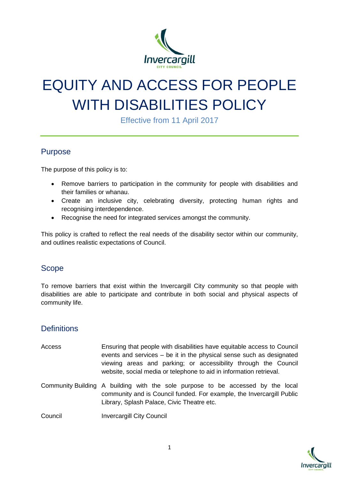

# EQUITY AND ACCESS FOR PEOPLE WITH DISABILITIES POLICY

Effective from 11 April 2017

## Purpose

The purpose of this policy is to:

- Remove barriers to participation in the community for people with disabilities and their families or whanau.
- Create an inclusive city, celebrating diversity, protecting human rights and recognising interdependence.
- Recognise the need for integrated services amongst the community.

This policy is crafted to reflect the real needs of the disability sector within our community, and outlines realistic expectations of Council.

#### Scope

To remove barriers that exist within the Invercargill City community so that people with disabilities are able to participate and contribute in both social and physical aspects of community life.

## **Definitions**

- Access Ensuring that people with disabilities have equitable access to Council events and services – be it in the physical sense such as designated viewing areas and parking; or accessibility through the Council website, social media or telephone to aid in information retrieval.
- Community Building A building with the sole purpose to be accessed by the local community and is Council funded. For example, the Invercargill Public Library, Splash Palace, Civic Theatre etc.

Council Invercargill City Council

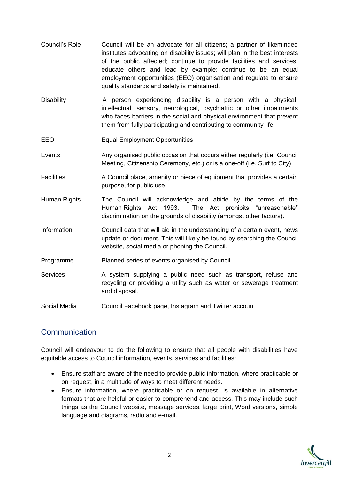- Council's Role Council will be an advocate for all citizens; a partner of likeminded institutes advocating on disability issues; will plan in the best interests of the public affected; continue to provide facilities and services; educate others and lead by example; continue to be an equal employment opportunities (EEO) organisation and regulate to ensure quality standards and safety is maintained.
- Disability **A** person experiencing disability is a person with a physical, intellectual, sensory, neurological, psychiatric or other impairments who faces barriers in the social and physical environment that prevent them from fully participating and contributing to community life.
- EEO Equal Employment Opportunities
- Events **Any organised public occasion that occurs either regularly (i.e. Council** Meeting, Citizenship Ceremony, etc.) or is a one-off (i.e. Surf to City).
- Facilities A Council place, amenity or piece of equipment that provides a certain purpose, for public use.
- Human Rights The Council will acknowledge and abide by the terms of the Human Rights Act 1993. The Act prohibits "unreasonable" discrimination on the grounds of disability (amongst other factors).
- Information Council data that will aid in the understanding of a certain event, news update or document. This will likely be found by searching the Council website, social media or phoning the Council.
- Programme Planned series of events organised by Council.
- Services A system supplying a public need such as transport, refuse and recycling or providing a utility such as water or sewerage treatment and disposal.
- Social Media Council Facebook page, Instagram and Twitter account.

## **Communication**

Council will endeavour to do the following to ensure that all people with disabilities have equitable access to Council information, events, services and facilities:

- Ensure staff are aware of the need to provide public information, where practicable or on request, in a multitude of ways to meet different needs.
- Ensure information, where practicable or on request, is available in alternative formats that are helpful or easier to comprehend and access. This may include such things as the Council website, message services, large print, Word versions, simple language and diagrams, radio and e-mail.

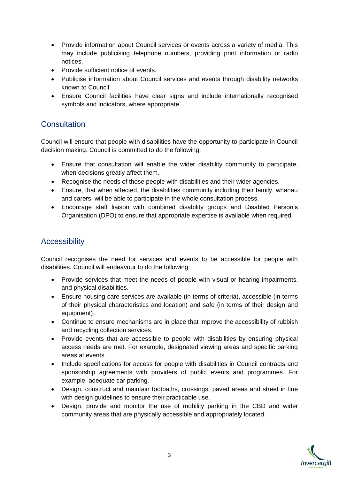- Provide information about Council services or events across a variety of media. This may include publicising telephone numbers, providing print information or radio notices.
- Provide sufficient notice of events.
- Publicise information about Council services and events through disability networks known to Council.
- Ensure Council facilities have clear signs and include internationally recognised symbols and indicators, where appropriate.

#### **Consultation**

Council will ensure that people with disabilities have the opportunity to participate in Council decision making. Council is committed to do the following:

- Ensure that consultation will enable the wider disability community to participate, when decisions greatly affect them.
- Recognise the needs of those people with disabilities and their wider agencies.
- Ensure, that when affected, the disabilities community including their family, whanau and carers, will be able to participate in the whole consultation process.
- Encourage staff liaison with combined disability groups and Disabled Person's Organisation (DPO) to ensure that appropriate expertise is available when required.

# **Accessibility**

Council recognises the need for services and events to be accessible for people with disabilities. Council will endeavour to do the following:

- Provide services that meet the needs of people with visual or hearing impairments, and physical disabilities.
- Ensure housing care services are available (in terms of criteria), accessible (in terms of their physical characteristics and location) and safe (in terms of their design and equipment).
- Continue to ensure mechanisms are in place that improve the accessibility of rubbish and recycling collection services.
- Provide events that are accessible to people with disabilities by ensuring physical access needs are met. For example, designated viewing areas and specific parking areas at events.
- Include specifications for access for people with disabilities in Council contracts and sponsorship agreements with providers of public events and programmes. For example, adequate car parking.
- Design, construct and maintain footpaths, crossings, paved areas and street in line with design guidelines to ensure their practicable use.
- Design, provide and monitor the use of mobility parking in the CBD and wider community areas that are physically accessible and appropriately located.

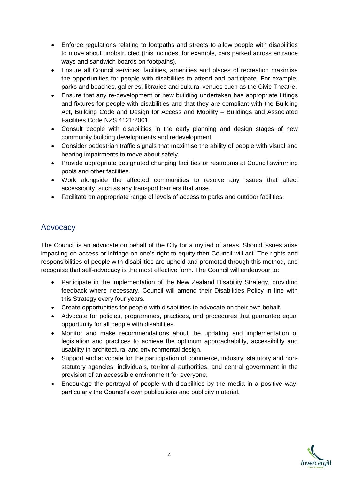- Enforce regulations relating to footpaths and streets to allow people with disabilities to move about unobstructed (this includes, for example, cars parked across entrance ways and sandwich boards on footpaths).
- Ensure all Council services, facilities, amenities and places of recreation maximise the opportunities for people with disabilities to attend and participate. For example, parks and beaches, galleries, libraries and cultural venues such as the Civic Theatre.
- Ensure that any re-development or new building undertaken has appropriate fittings and fixtures for people with disabilities and that they are compliant with the Building Act, Building Code and Design for Access and Mobility – Buildings and Associated Facilities Code NZS 4121:2001.
- Consult people with disabilities in the early planning and design stages of new community building developments and redevelopment.
- Consider pedestrian traffic signals that maximise the ability of people with visual and hearing impairments to move about safely.
- Provide appropriate designated changing facilities or restrooms at Council swimming pools and other facilities.
- Work alongside the affected communities to resolve any issues that affect accessibility, such as any transport barriers that arise.
- Facilitate an appropriate range of levels of access to parks and outdoor facilities.

#### **Advocacy**

The Council is an advocate on behalf of the City for a myriad of areas. Should issues arise impacting on access or infringe on one's right to equity then Council will act. The rights and responsibilities of people with disabilities are upheld and promoted through this method, and recognise that self-advocacy is the most effective form. The Council will endeavour to:

- Participate in the implementation of the New Zealand Disability Strategy, providing feedback where necessary. Council will amend their Disabilities Policy in line with this Strategy every four years.
- Create opportunities for people with disabilities to advocate on their own behalf.
- Advocate for policies, programmes, practices, and procedures that guarantee equal opportunity for all people with disabilities.
- Monitor and make recommendations about the updating and implementation of legislation and practices to achieve the optimum approachability, accessibility and usability in architectural and environmental design.
- Support and advocate for the participation of commerce, industry, statutory and nonstatutory agencies, individuals, territorial authorities, and central government in the provision of an accessible environment for everyone.
- Encourage the portrayal of people with disabilities by the media in a positive way, particularly the Council's own publications and publicity material.

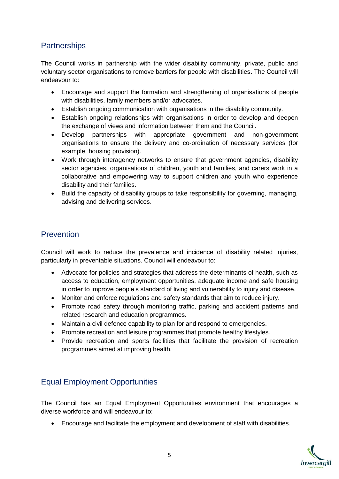# **Partnerships**

The Council works in partnership with the wider disability community, private, public and voluntary sector organisations to remove barriers for people with disabilities**.** The Council will endeavour to:

- Encourage and support the formation and strengthening of organisations of people with disabilities, family members and/or advocates.
- Establish ongoing communication with organisations in the disability community.
- Establish ongoing relationships with organisations in order to develop and deepen the exchange of views and information between them and the Council.
- Develop partnerships with appropriate government and non-government organisations to ensure the delivery and co-ordination of necessary services (for example, housing provision).
- Work through interagency networks to ensure that government agencies, disability sector agencies, organisations of children, youth and families, and carers work in a collaborative and empowering way to support children and youth who experience disability and their families.
- Build the capacity of disability groups to take responsibility for governing, managing, advising and delivering services.

# Prevention

Council will work to reduce the prevalence and incidence of disability related injuries, particularly in preventable situations. Council will endeavour to:

- Advocate for policies and strategies that address the determinants of health, such as access to education, employment opportunities, adequate income and safe housing in order to improve people's standard of living and vulnerability to injury and disease.
- Monitor and enforce regulations and safety standards that aim to reduce injury.
- Promote road safety through monitoring traffic, parking and accident patterns and related research and education programmes.
- Maintain a civil defence capability to plan for and respond to emergencies.
- Promote recreation and leisure programmes that promote healthy lifestyles.
- Provide recreation and sports facilities that facilitate the provision of recreation programmes aimed at improving health.

## Equal Employment Opportunities

The Council has an Equal Employment Opportunities environment that encourages a diverse workforce and will endeavour to:

Encourage and facilitate the employment and development of staff with disabilities.